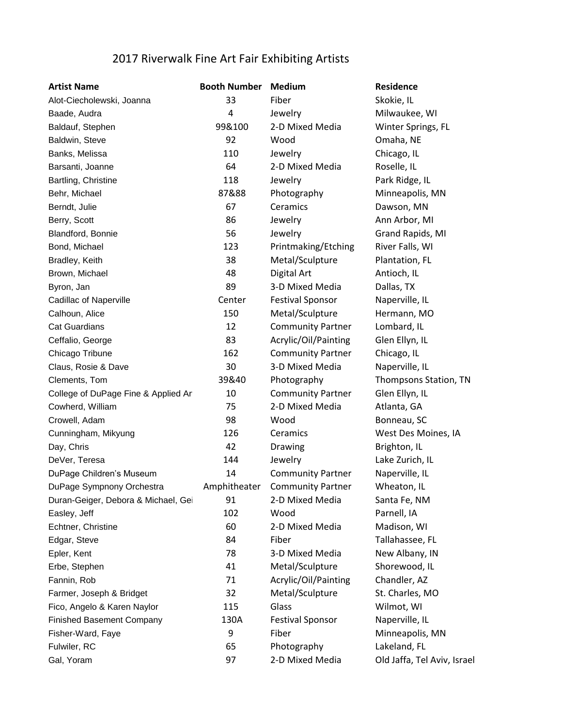## 2017 Riverwalk Fine Art Fair Exhibiting Artists

| <b>Artist Name</b>                  | <b>Booth Number</b> | <b>Medium</b>            | Residence                   |
|-------------------------------------|---------------------|--------------------------|-----------------------------|
| Alot-Ciecholewski, Joanna           | 33                  | Fiber                    | Skokie, IL                  |
| Baade, Audra                        | 4                   | Jewelry                  | Milwaukee, WI               |
| Baldauf, Stephen                    | 99&100              | 2-D Mixed Media          | Winter Springs, FL          |
| Baldwin, Steve                      | 92                  | Wood                     | Omaha, NE                   |
| Banks, Melissa                      | 110                 | Jewelry                  | Chicago, IL                 |
| Barsanti, Joanne                    | 64                  | 2-D Mixed Media          | Roselle, IL                 |
| Bartling, Christine                 | 118                 | Jewelry                  | Park Ridge, IL              |
| Behr, Michael                       | 87&88               | Photography              | Minneapolis, MN             |
| Berndt, Julie                       | 67                  | Ceramics                 | Dawson, MN                  |
| Berry, Scott                        | 86                  | Jewelry                  | Ann Arbor, MI               |
| Blandford, Bonnie                   | 56                  | Jewelry                  | Grand Rapids, MI            |
| Bond, Michael                       | 123                 | Printmaking/Etching      | River Falls, WI             |
| Bradley, Keith                      | 38                  | Metal/Sculpture          | Plantation, FL              |
| Brown, Michael                      | 48                  | Digital Art              | Antioch, IL                 |
| Byron, Jan                          | 89                  | 3-D Mixed Media          | Dallas, TX                  |
| <b>Cadillac of Naperville</b>       | Center              | <b>Festival Sponsor</b>  | Naperville, IL              |
| Calhoun, Alice                      | 150                 | Metal/Sculpture          | Hermann, MO                 |
| <b>Cat Guardians</b>                | 12                  | <b>Community Partner</b> | Lombard, IL                 |
| Ceffalio, George                    | 83                  | Acrylic/Oil/Painting     | Glen Ellyn, IL              |
| Chicago Tribune                     | 162                 | <b>Community Partner</b> | Chicago, IL                 |
| Claus, Rosie & Dave                 | 30                  | 3-D Mixed Media          | Naperville, IL              |
| Clements, Tom                       | 39&40               | Photography              | Thompsons Station, TN       |
| College of DuPage Fine & Applied Ar | 10                  | <b>Community Partner</b> | Glen Ellyn, IL              |
| Cowherd, William                    | 75                  | 2-D Mixed Media          | Atlanta, GA                 |
| Crowell, Adam                       | 98                  | Wood                     | Bonneau, SC                 |
| Cunningham, Mikyung                 | 126                 | Ceramics                 | West Des Moines, IA         |
| Day, Chris                          | 42                  | Drawing                  | Brighton, IL                |
| DeVer, Teresa                       | 144                 | Jewelry                  | Lake Zurich, IL             |
| DuPage Children's Museum            | 14                  | <b>Community Partner</b> | Naperville, IL              |
| DuPage Sympnony Orchestra           | Amphitheater        | <b>Community Partner</b> | Wheaton, IL                 |
| Duran-Geiger, Debora & Michael, Ge  | 91                  | 2-D Mixed Media          | Santa Fe, NM                |
| Easley, Jeff                        | 102                 | Wood                     | Parnell, IA                 |
| Echtner, Christine                  | 60                  | 2-D Mixed Media          | Madison, WI                 |
| Edgar, Steve                        | 84                  | Fiber                    | Tallahassee, FL             |
| Epler, Kent                         | 78                  | 3-D Mixed Media          | New Albany, IN              |
| Erbe, Stephen                       | 41                  | Metal/Sculpture          | Shorewood, IL               |
| Fannin, Rob                         | 71                  | Acrylic/Oil/Painting     | Chandler, AZ                |
| Farmer, Joseph & Bridget            | 32                  | Metal/Sculpture          | St. Charles, MO             |
| Fico, Angelo & Karen Naylor         | 115                 | Glass                    | Wilmot, WI                  |
| <b>Finished Basement Company</b>    | 130A                | <b>Festival Sponsor</b>  | Naperville, IL              |
| Fisher-Ward, Faye                   | 9                   | Fiber                    | Minneapolis, MN             |
| Fulwiler, RC                        | 65                  | Photography              | Lakeland, FL                |
| Gal, Yoram                          | 97                  | 2-D Mixed Media          | Old Jaffa, Tel Aviv, Israel |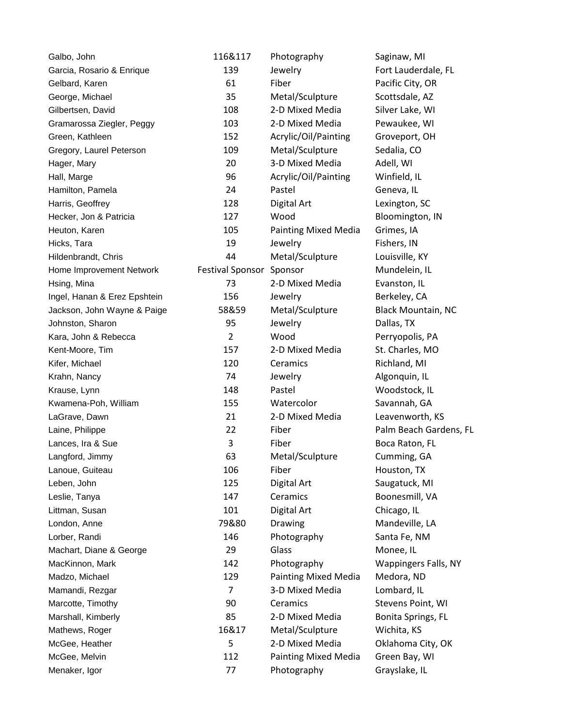| Galbo, John                  | 116&117                  | Photography                 | Saginaw, MI                 |
|------------------------------|--------------------------|-----------------------------|-----------------------------|
| Garcia, Rosario & Enrique    | 139                      | Jewelry                     | Fort Lauderdale, FL         |
| Gelbard, Karen               | 61                       | Fiber                       | Pacific City, OR            |
| George, Michael              | 35                       | Metal/Sculpture             | Scottsdale, AZ              |
| Gilbertsen, David            | 108                      | 2-D Mixed Media             | Silver Lake, WI             |
| Gramarossa Ziegler, Peggy    | 103                      | 2-D Mixed Media             | Pewaukee, WI                |
| Green, Kathleen              | 152                      | Acrylic/Oil/Painting        | Groveport, OH               |
| Gregory, Laurel Peterson     | 109                      | Metal/Sculpture             | Sedalia, CO                 |
| Hager, Mary                  | 20                       | 3-D Mixed Media             | Adell, WI                   |
| Hall, Marge                  | 96                       | Acrylic/Oil/Painting        | Winfield, IL                |
| Hamilton, Pamela             | 24                       | Pastel                      | Geneva, IL                  |
| Harris, Geoffrey             | 128                      | Digital Art                 | Lexington, SC               |
| Hecker, Jon & Patricia       | 127                      | Wood                        | Bloomington, IN             |
| Heuton, Karen                | 105                      | <b>Painting Mixed Media</b> | Grimes, IA                  |
| Hicks, Tara                  | 19                       | Jewelry                     | Fishers, IN                 |
| Hildenbrandt, Chris          | 44                       | Metal/Sculpture             | Louisville, KY              |
| Home Improvement Network     | Festival Sponsor Sponsor |                             | Mundelein, IL               |
| Hsing, Mina                  | 73                       | 2-D Mixed Media             | Evanston, IL                |
| Ingel, Hanan & Erez Epshtein | 156                      | Jewelry                     | Berkeley, CA                |
| Jackson, John Wayne & Paige  | 58&59                    | Metal/Sculpture             | <b>Black Mountain, NC</b>   |
| Johnston, Sharon             | 95                       | Jewelry                     | Dallas, TX                  |
| Kara, John & Rebecca         | $\overline{2}$           | Wood                        | Perryopolis, PA             |
| Kent-Moore, Tim              | 157                      | 2-D Mixed Media             | St. Charles, MO             |
| Kifer, Michael               | 120                      | Ceramics                    | Richland, MI                |
| Krahn, Nancy                 | 74                       | Jewelry                     | Algonquin, IL               |
| Krause, Lynn                 | 148                      | Pastel                      | Woodstock, IL               |
| Kwamena-Poh, William         | 155                      | Watercolor                  | Savannah, GA                |
| LaGrave, Dawn                | 21                       | 2-D Mixed Media             | Leavenworth, KS             |
| Laine, Philippe              | 22                       | Fiber                       | Palm Beach Gardens, FL      |
| Lances, Ira & Sue            | 3                        | Fiber                       | Boca Raton, FL              |
| Langford, Jimmy              | 63                       | Metal/Sculpture             | Cumming, GA                 |
| Lanoue, Guiteau              | 106                      | Fiber                       | Houston, TX                 |
| Leben, John                  | 125                      | Digital Art                 | Saugatuck, MI               |
| Leslie, Tanya                | 147                      | Ceramics                    | Boonesmill, VA              |
| Littman, Susan               | 101                      | Digital Art                 | Chicago, IL                 |
| London, Anne                 | 79&80                    | Drawing                     | Mandeville, LA              |
| Lorber, Randi                | 146                      | Photography                 | Santa Fe, NM                |
| Machart, Diane & George      | 29                       | Glass                       | Monee, IL                   |
| MacKinnon, Mark              | 142                      | Photography                 | <b>Wappingers Falls, NY</b> |
| Madzo, Michael               | 129                      | <b>Painting Mixed Media</b> | Medora, ND                  |
| Mamandi, Rezgar              | 7                        | 3-D Mixed Media             | Lombard, IL                 |
| Marcotte, Timothy            | 90                       | Ceramics                    | Stevens Point, WI           |
| Marshall, Kimberly           | 85                       | 2-D Mixed Media             | Bonita Springs, FL          |
| Mathews, Roger               | 16&17                    | Metal/Sculpture             | Wichita, KS                 |
| McGee, Heather               | 5                        | 2-D Mixed Media             | Oklahoma City, OK           |
| McGee, Melvin                | 112                      | <b>Painting Mixed Media</b> | Green Bay, WI               |
| Menaker, Igor                | 77                       | Photography                 | Grayslake, IL               |